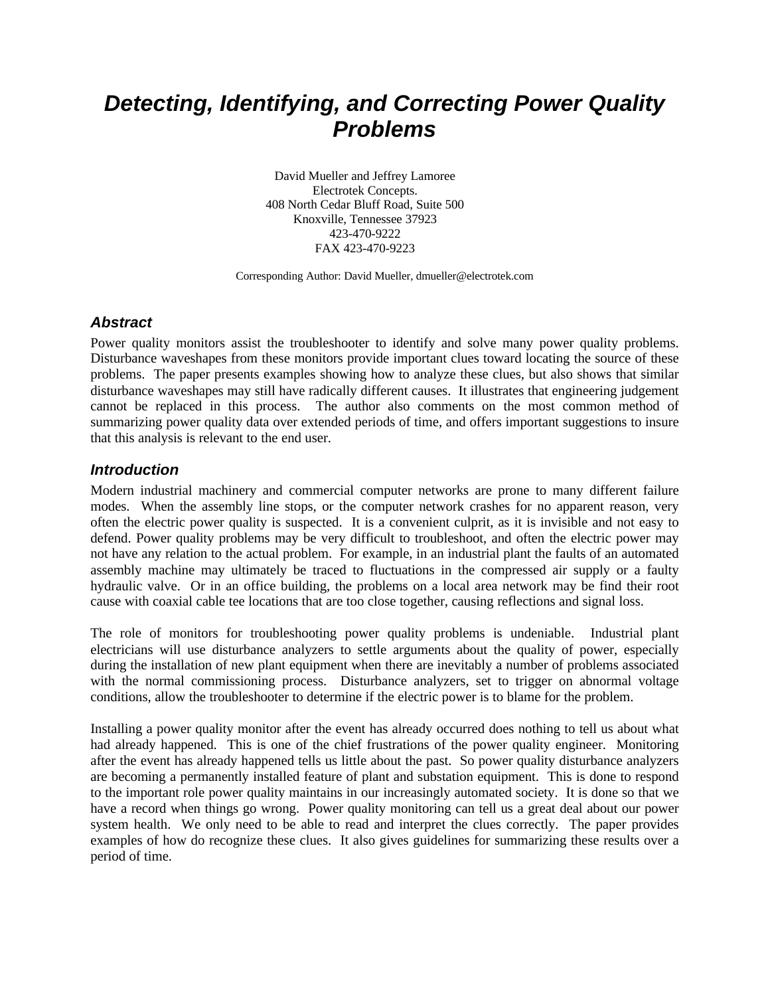# *Detecting, Identifying, and Correcting Power Quality Problems*

David Mueller and Jeffrey Lamoree Electrotek Concepts. 408 North Cedar Bluff Road, Suite 500 Knoxville, Tennessee 37923 423-470-9222 FAX 423-470-9223

Corresponding Author: David Mueller, dmueller@electrotek.com

#### *Abstract*

Power quality monitors assist the troubleshooter to identify and solve many power quality problems. Disturbance waveshapes from these monitors provide important clues toward locating the source of these problems. The paper presents examples showing how to analyze these clues, but also shows that similar disturbance waveshapes may still have radically different causes. It illustrates that engineering judgement cannot be replaced in this process. The author also comments on the most common method of summarizing power quality data over extended periods of time, and offers important suggestions to insure that this analysis is relevant to the end user.

#### *Introduction*

Modern industrial machinery and commercial computer networks are prone to many different failure modes. When the assembly line stops, or the computer network crashes for no apparent reason, very often the electric power quality is suspected. It is a convenient culprit, as it is invisible and not easy to defend. Power quality problems may be very difficult to troubleshoot, and often the electric power may not have any relation to the actual problem. For example, in an industrial plant the faults of an automated assembly machine may ultimately be traced to fluctuations in the compressed air supply or a faulty hydraulic valve. Or in an office building, the problems on a local area network may be find their root cause with coaxial cable tee locations that are too close together, causing reflections and signal loss.

The role of monitors for troubleshooting power quality problems is undeniable. Industrial plant electricians will use disturbance analyzers to settle arguments about the quality of power, especially during the installation of new plant equipment when there are inevitably a number of problems associated with the normal commissioning process. Disturbance analyzers, set to trigger on abnormal voltage conditions, allow the troubleshooter to determine if the electric power is to blame for the problem.

Installing a power quality monitor after the event has already occurred does nothing to tell us about what had already happened. This is one of the chief frustrations of the power quality engineer. Monitoring after the event has already happened tells us little about the past. So power quality disturbance analyzers are becoming a permanently installed feature of plant and substation equipment. This is done to respond to the important role power quality maintains in our increasingly automated society. It is done so that we have a record when things go wrong. Power quality monitoring can tell us a great deal about our power system health. We only need to be able to read and interpret the clues correctly. The paper provides examples of how do recognize these clues. It also gives guidelines for summarizing these results over a period of time.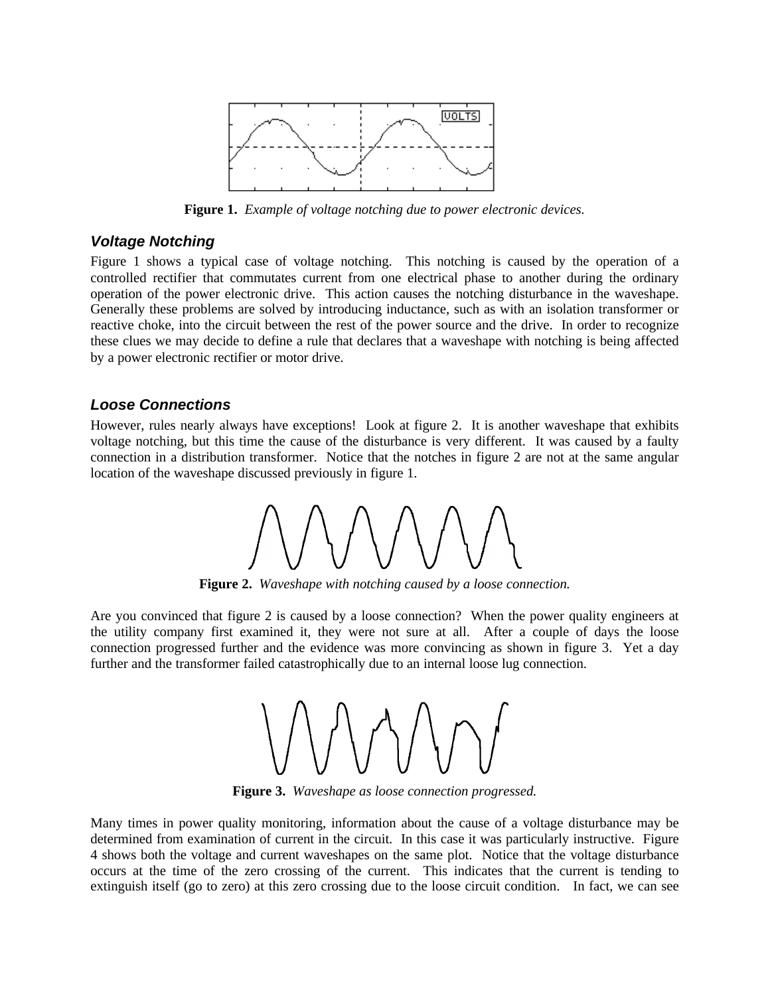

**Figure 1.** *Example of voltage notching due to power electronic devices.*

#### *Voltage Notching*

Figure 1 shows a typical case of voltage notching. This notching is caused by the operation of a controlled rectifier that commutates current from one electrical phase to another during the ordinary operation of the power electronic drive. This action causes the notching disturbance in the waveshape. Generally these problems are solved by introducing inductance, such as with an isolation transformer or reactive choke, into the circuit between the rest of the power source and the drive. In order to recognize these clues we may decide to define a rule that declares that a waveshape with notching is being affected by a power electronic rectifier or motor drive.

#### *Loose Connections*

However, rules nearly always have exceptions! Look at figure 2. It is another waveshape that exhibits voltage notching, but this time the cause of the disturbance is very different. It was caused by a faulty connection in a distribution transformer. Notice that the notches in figure 2 are not at the same angular location of the waveshape discussed previously in figure 1.



**Figure 2.** *Waveshape with notching caused by a loose connection.*

Are you convinced that figure 2 is caused by a loose connection? When the power quality engineers at the utility company first examined it, they were not sure at all. After a couple of days the loose connection progressed further and the evidence was more convincing as shown in figure 3. Yet a day further and the transformer failed catastrophically due to an internal loose lug connection.



**Figure 3.** *Waveshape as loose connection progressed.*

Many times in power quality monitoring, information about the cause of a voltage disturbance may be determined from examination of current in the circuit. In this case it was particularly instructive. Figure 4 shows both the voltage and current waveshapes on the same plot. Notice that the voltage disturbance occurs at the time of the zero crossing of the current. This indicates that the current is tending to extinguish itself (go to zero) at this zero crossing due to the loose circuit condition. In fact, we can see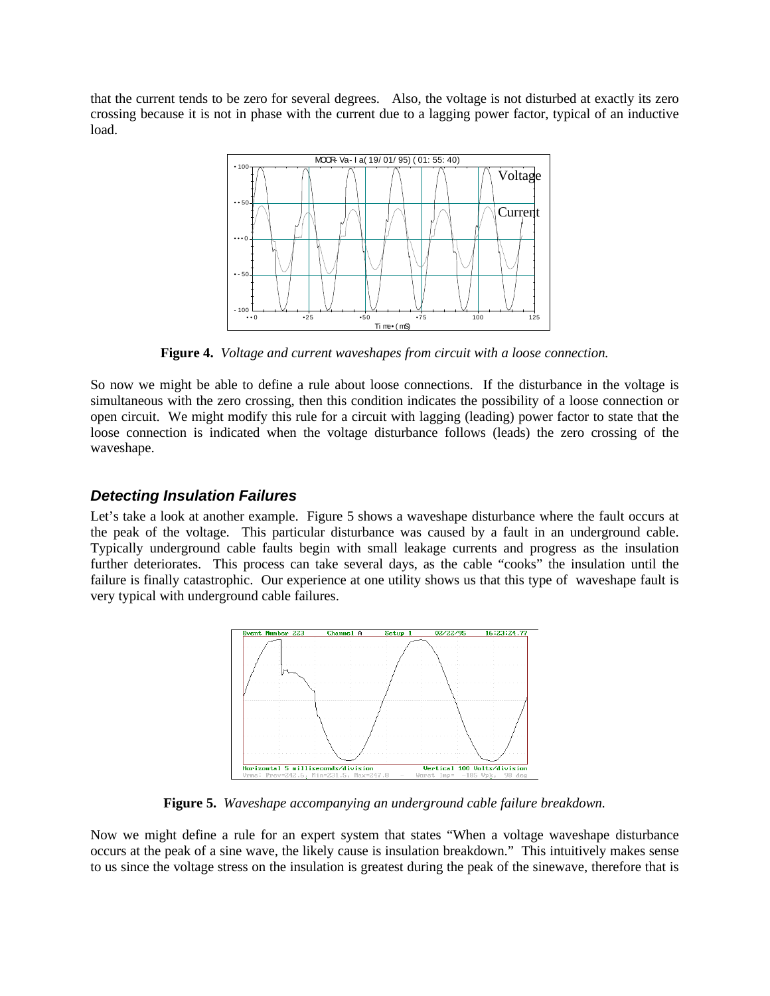that the current tends to be zero for several degrees. Also, the voltage is not disturbed at exactly its zero crossing because it is not in phase with the current due to a lagging power factor, typical of an inductive load.



**Figure 4.** *Voltage and current waveshapes from circuit with a loose connection.*

So now we might be able to define a rule about loose connections. If the disturbance in the voltage is simultaneous with the zero crossing, then this condition indicates the possibility of a loose connection or open circuit. We might modify this rule for a circuit with lagging (leading) power factor to state that the loose connection is indicated when the voltage disturbance follows (leads) the zero crossing of the waveshape.

## *Detecting Insulation Failures*

Let's take a look at another example. Figure 5 shows a waveshape disturbance where the fault occurs at the peak of the voltage. This particular disturbance was caused by a fault in an underground cable. Typically underground cable faults begin with small leakage currents and progress as the insulation further deteriorates. This process can take several days, as the cable "cooks" the insulation until the failure is finally catastrophic. Our experience at one utility shows us that this type of waveshape fault is very typical with underground cable failures.



**Figure 5.** *Waveshape accompanying an underground cable failure breakdown.*

Now we might define a rule for an expert system that states "When a voltage waveshape disturbance occurs at the peak of a sine wave, the likely cause is insulation breakdown." This intuitively makes sense to us since the voltage stress on the insulation is greatest during the peak of the sinewave, therefore that is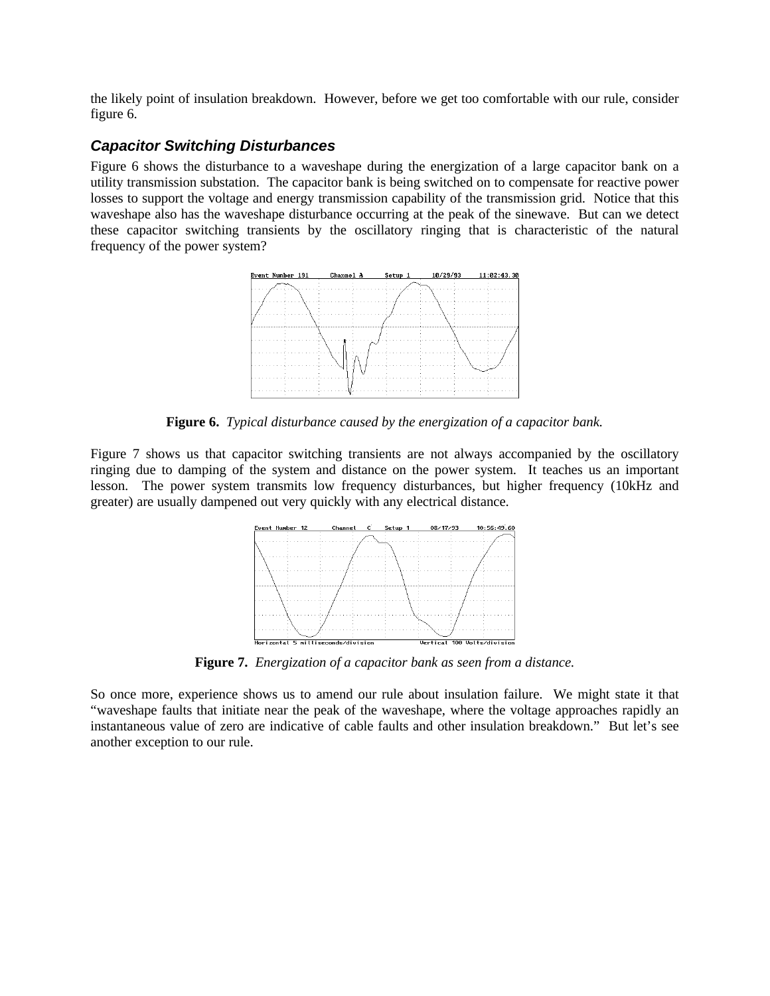the likely point of insulation breakdown. However, before we get too comfortable with our rule, consider figure 6.

### *Capacitor Switching Disturbances*

Figure 6 shows the disturbance to a waveshape during the energization of a large capacitor bank on a utility transmission substation. The capacitor bank is being switched on to compensate for reactive power losses to support the voltage and energy transmission capability of the transmission grid. Notice that this waveshape also has the waveshape disturbance occurring at the peak of the sinewave. But can we detect these capacitor switching transients by the oscillatory ringing that is characteristic of the natural frequency of the power system?



**Figure 6.** *Typical disturbance caused by the energization of a capacitor bank.*

Figure 7 shows us that capacitor switching transients are not always accompanied by the oscillatory ringing due to damping of the system and distance on the power system. It teaches us an important lesson. The power system transmits low frequency disturbances, but higher frequency (10kHz and greater) are usually dampened out very quickly with any electrical distance.



**Figure 7.** *Energization of a capacitor bank as seen from a distance.*

So once more, experience shows us to amend our rule about insulation failure. We might state it that "waveshape faults that initiate near the peak of the waveshape, where the voltage approaches rapidly an instantaneous value of zero are indicative of cable faults and other insulation breakdown." But let's see another exception to our rule.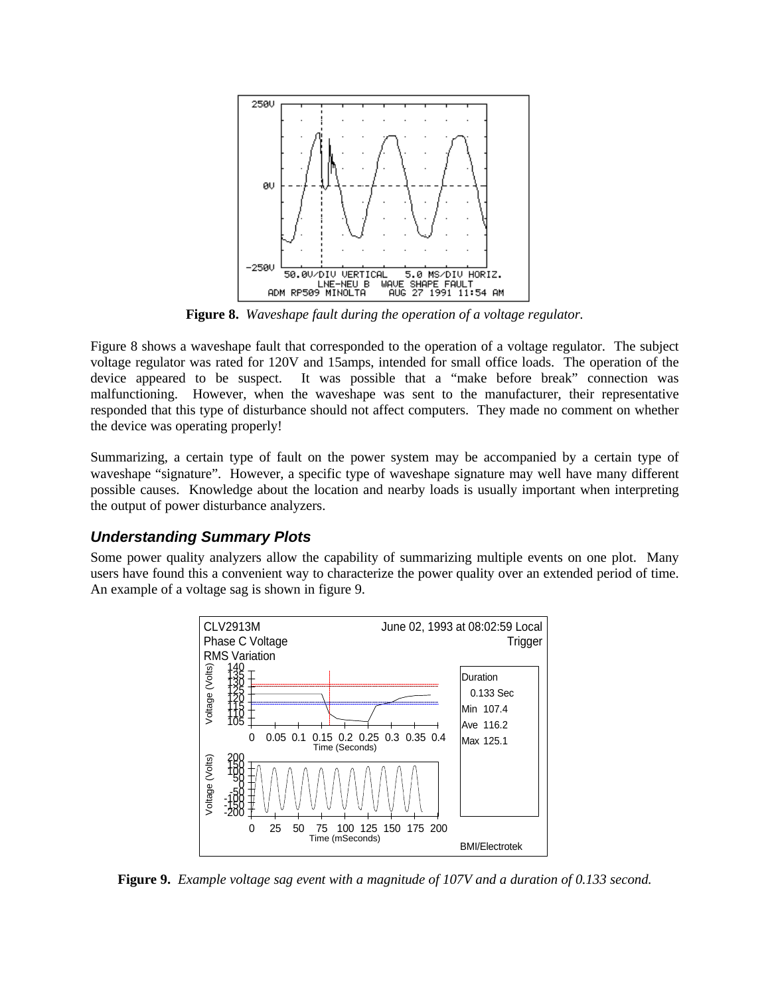

**Figure 8.** *Waveshape fault during the operation of a voltage regulator.*

Figure 8 shows a waveshape fault that corresponded to the operation of a voltage regulator. The subject voltage regulator was rated for 120V and 15amps, intended for small office loads. The operation of the device appeared to be suspect. It was possible that a "make before break" connection was malfunctioning. However, when the waveshape was sent to the manufacturer, their representative responded that this type of disturbance should not affect computers. They made no comment on whether the device was operating properly!

Summarizing, a certain type of fault on the power system may be accompanied by a certain type of waveshape "signature". However, a specific type of waveshape signature may well have many different possible causes. Knowledge about the location and nearby loads is usually important when interpreting the output of power disturbance analyzers.

## *Understanding Summary Plots*

Some power quality analyzers allow the capability of summarizing multiple events on one plot. Many users have found this a convenient way to characterize the power quality over an extended period of time. An example of a voltage sag is shown in figure 9.



**Figure 9.** *Example voltage sag event with a magnitude of 107V and a duration of 0.133 second.*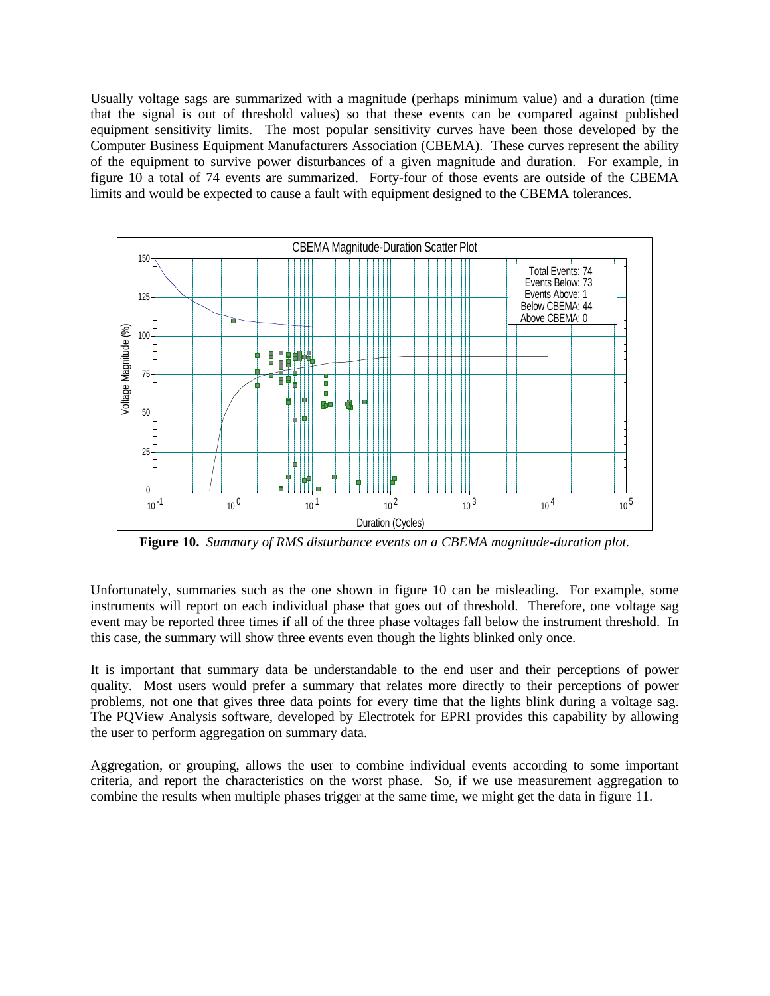Usually voltage sags are summarized with a magnitude (perhaps minimum value) and a duration (time that the signal is out of threshold values) so that these events can be compared against published equipment sensitivity limits. The most popular sensitivity curves have been those developed by the Computer Business Equipment Manufacturers Association (CBEMA). These curves represent the ability of the equipment to survive power disturbances of a given magnitude and duration. For example, in figure 10 a total of 74 events are summarized. Forty-four of those events are outside of the CBEMA limits and would be expected to cause a fault with equipment designed to the CBEMA tolerances.



**Figure 10.** *Summary of RMS disturbance events on a CBEMA magnitude-duration plot.*

Unfortunately, summaries such as the one shown in figure 10 can be misleading. For example, some instruments will report on each individual phase that goes out of threshold. Therefore, one voltage sag event may be reported three times if all of the three phase voltages fall below the instrument threshold. In this case, the summary will show three events even though the lights blinked only once.

It is important that summary data be understandable to the end user and their perceptions of power quality. Most users would prefer a summary that relates more directly to their perceptions of power problems, not one that gives three data points for every time that the lights blink during a voltage sag. The PQView Analysis software, developed by Electrotek for EPRI provides this capability by allowing the user to perform aggregation on summary data.

Aggregation, or grouping, allows the user to combine individual events according to some important criteria, and report the characteristics on the worst phase. So, if we use measurement aggregation to combine the results when multiple phases trigger at the same time, we might get the data in figure 11.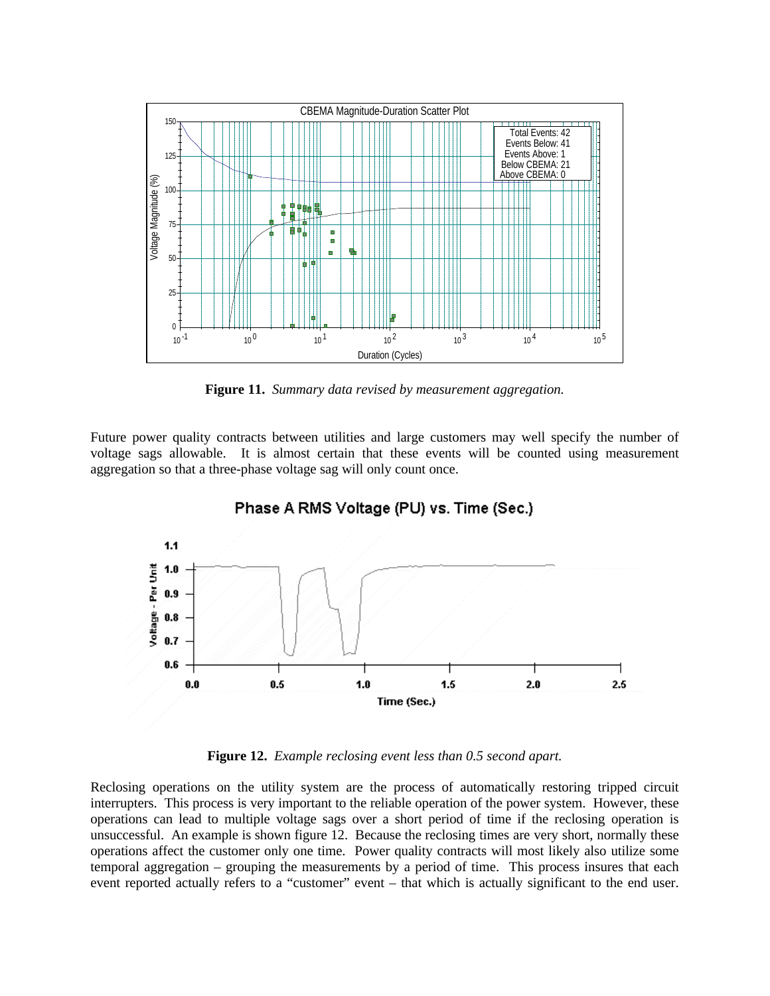

**Figure 11.** *Summary data revised by measurement aggregation.*

Future power quality contracts between utilities and large customers may well specify the number of voltage sags allowable. It is almost certain that these events will be counted using measurement aggregation so that a three-phase voltage sag will only count once.



Phase A RMS Voltage (PU) vs. Time (Sec.)

**Figure 12.** *Example reclosing event less than 0.5 second apart.*

Reclosing operations on the utility system are the process of automatically restoring tripped circuit interrupters. This process is very important to the reliable operation of the power system. However, these operations can lead to multiple voltage sags over a short period of time if the reclosing operation is unsuccessful. An example is shown figure 12. Because the reclosing times are very short, normally these operations affect the customer only one time. Power quality contracts will most likely also utilize some temporal aggregation – grouping the measurements by a period of time. This process insures that each event reported actually refers to a "customer" event – that which is actually significant to the end user.